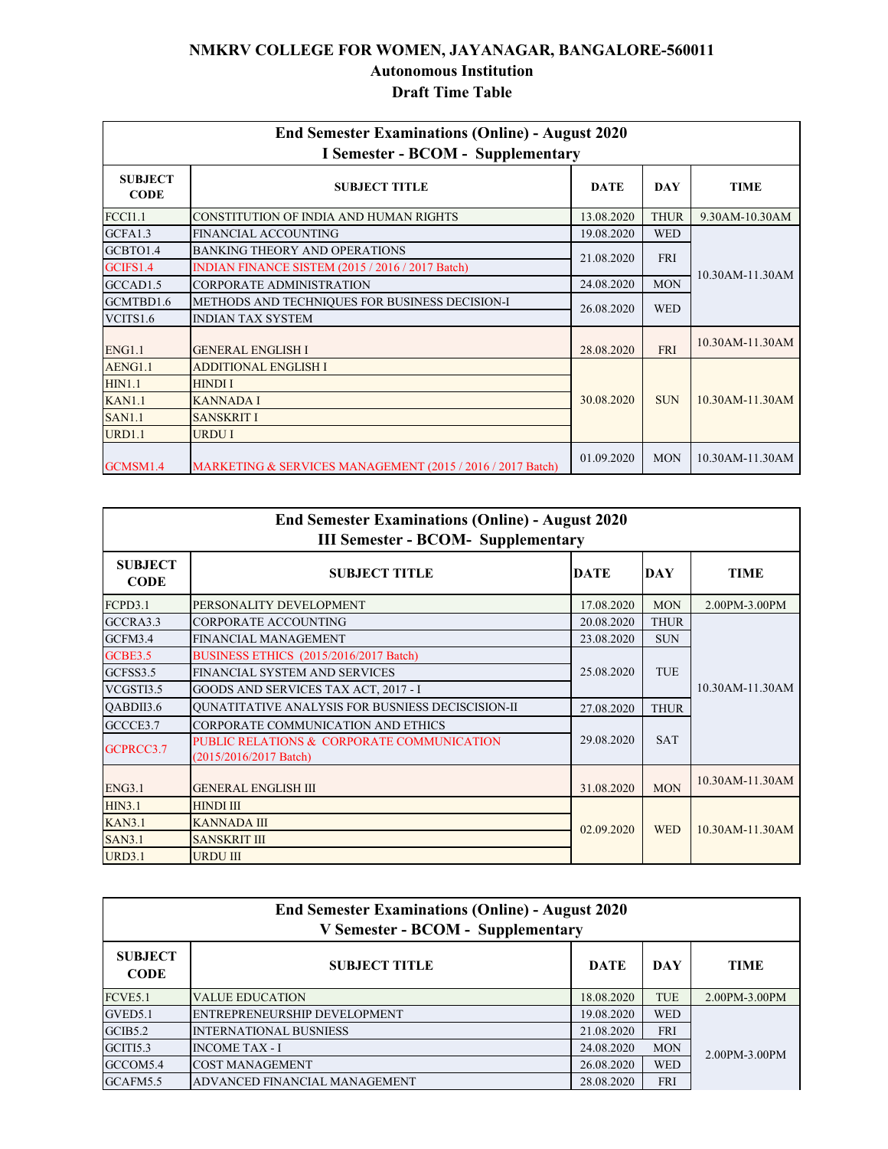## **NMKRV COLLEGE FOR WOMEN, JAYANAGAR, BANGALORE-560011 Autonomous Institution Draft Time Table**

|                               | <b>End Semester Examinations (Online) - August 2020</b><br><b>I Semester - BCOM - Supplementary</b> |             |             |                 |  |
|-------------------------------|-----------------------------------------------------------------------------------------------------|-------------|-------------|-----------------|--|
| <b>SUBJECT</b><br><b>CODE</b> | <b>SUBJECT TITLE</b>                                                                                | <b>DATE</b> | <b>DAY</b>  | <b>TIME</b>     |  |
| <b>FCCI1.1</b>                | CONSTITUTION OF INDIA AND HUMAN RIGHTS                                                              | 13.08.2020  | <b>THUR</b> | 9.30AM-10.30AM  |  |
| GCFA1.3                       | FINANCIAL ACCOUNTING                                                                                | 19.08.2020  | <b>WED</b>  |                 |  |
| GCBTO1.4                      | <b>BANKING THEORY AND OPERATIONS</b>                                                                | 21.08.2020  | <b>FRI</b>  |                 |  |
| GCIFS1.4                      | INDIAN FINANCE SISTEM (2015 / 2016 / 2017 Batch)                                                    |             |             | 10.30AM-11.30AM |  |
| GCCAD1.5                      | CORPORATE ADMINISTRATION                                                                            | 24.08.2020  | <b>MON</b>  |                 |  |
| GCMTBD1.6                     | METHODS AND TECHNIQUES FOR BUSINESS DECISION-I                                                      | 26.08.2020  | <b>WED</b>  |                 |  |
| VCITS1.6                      | <b>INDIAN TAX SYSTEM</b>                                                                            |             |             |                 |  |
| <b>ENG1.1</b>                 | <b>GENERAL ENGLISH I</b>                                                                            | 28.08.2020  | <b>FRI</b>  | 10.30AM-11.30AM |  |
| AENG1.1                       | <b>ADDITIONAL ENGLISH I</b>                                                                         |             |             |                 |  |
| <b>HIN1.1</b>                 | <b>HINDI I</b>                                                                                      | 30.08.2020  | <b>SUN</b>  | 10.30AM-11.30AM |  |
| <b>KAN1.1</b>                 | <b>KANNADA I</b>                                                                                    |             |             |                 |  |
| <b>SAN1.1</b>                 | <b>SANSKRIT I</b>                                                                                   |             |             |                 |  |
| <b>URD1.1</b>                 | URDU I                                                                                              |             |             |                 |  |
| GCMSM1.4                      | MARKETING & SERVICES MANAGEMENT (2015 / 2016 / 2017 Batch)                                          | 01.09.2020  | <b>MON</b>  | 10.30AM-11.30AM |  |

|                               | <b>End Semester Examinations (Online) - August 2020</b><br><b>III Semester - BCOM- Supplementary</b> |             |             |                    |  |
|-------------------------------|------------------------------------------------------------------------------------------------------|-------------|-------------|--------------------|--|
| <b>SUBJECT</b><br><b>CODE</b> | <b>SUBJECT TITLE</b>                                                                                 | <b>DATE</b> | <b>DAY</b>  | <b>TIME</b>        |  |
| FCPD3.1                       | PERSONALITY DEVELOPMENT                                                                              | 17.08.2020  | <b>MON</b>  | 2.00PM-3.00PM      |  |
| GCCRA3.3                      | <b>CORPORATE ACCOUNTING</b>                                                                          | 20.08.2020  | <b>THUR</b> |                    |  |
| GCFM3.4                       | <b>FINANCIAL MANAGEMENT</b>                                                                          | 23.08.2020  | <b>SUN</b>  |                    |  |
| <b>GCBE3.5</b>                | BUSINESS ETHICS (2015/2016/2017 Batch)                                                               |             | TUE         | 10.30AM-11.30AM    |  |
| GCFSS3.5                      | FINANCIAL SYSTEM AND SERVICES                                                                        | 25.08.2020  |             |                    |  |
| VCGSTI3.5                     | GOODS AND SERVICES TAX ACT, 2017 - I                                                                 |             |             |                    |  |
| OABDII3.6                     | <b>QUNATITATIVE ANALYSIS FOR BUSNIESS DECISCISION-II</b>                                             | 27.08.2020  | <b>THUR</b> |                    |  |
| GCCCE3.7                      | CORPORATE COMMUNICATION AND ETHICS                                                                   |             |             |                    |  |
| GCPRCC3.7                     | PUBLIC RELATIONS & CORPORATE COMMUNICATION<br>(2015/2016/2017 Batch)                                 | 29.08.2020  | <b>SAT</b>  |                    |  |
| <b>ENG3.1</b>                 | <b>GENERAL ENGLISH III</b>                                                                           | 31.08.2020  | <b>MON</b>  | 10.30AM-11.30AM    |  |
| HIN3.1                        | <b>HINDI III</b>                                                                                     |             |             |                    |  |
| <b>KAN3.1</b>                 | <b>KANNADA III</b>                                                                                   | 02.09.2020  | <b>WED</b>  | $10.30$ AM-11.30AM |  |
| <b>SAN3.1</b>                 | <b>SANSKRIT III</b>                                                                                  |             |             |                    |  |
| <b>URD3.1</b>                 | <b>URDU III</b>                                                                                      |             |             |                    |  |

|                               | <b>End Semester Examinations (Online) - August 2020</b><br><b>V Semester - BCOM - Supplementary</b> |             |            |               |
|-------------------------------|-----------------------------------------------------------------------------------------------------|-------------|------------|---------------|
| <b>SUBJECT</b><br><b>CODE</b> | <b>SUBJECT TITLE</b>                                                                                | <b>DATE</b> | DAY        | TIME          |
| FCVE5.1                       | <b>VALUE EDUCATION</b>                                                                              | 18.08.2020  | <b>TUE</b> | 2.00PM-3.00PM |
| GVED5.1                       | ENTREPRENEURSHIP DEVELOPMENT                                                                        | 19.08.2020  | <b>WED</b> |               |
| GCIB5.2                       | <b>INTERNATIONAL BUSNIESS</b>                                                                       | 21.08.2020  | <b>FRI</b> |               |
| GCITI5.3                      | <b>INCOME TAX - I</b>                                                                               | 24.08.2020  | <b>MON</b> | 2.00PM-3.00PM |
| GCCOM5.4                      | <b>COST MANAGEMENT</b>                                                                              | 26.08.2020  | <b>WED</b> |               |
| GCAFM5.5                      | ADVANCED FINANCIAL MANAGEMENT                                                                       | 28.08.2020  | <b>FRI</b> |               |